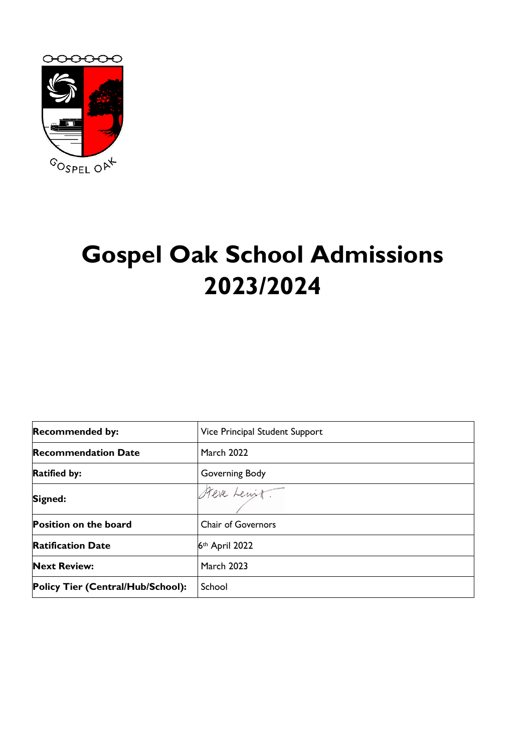

# **Gospel Oak School Admissions 2023/2024**

| <b>Recommended by:</b>            | Vice Principal Student Support |
|-----------------------------------|--------------------------------|
| <b>Recommendation Date</b>        | <b>March 2022</b>              |
| <b>Ratified by:</b>               | Governing Body                 |
| Signed:                           | Steve Lewitt.                  |
| <b>Position on the board</b>      | <b>Chair of Governors</b>      |
| <b>Ratification Date</b>          | 6th April 2022                 |
| <b>Next Review:</b>               | <b>March 2023</b>              |
| Policy Tier (Central/Hub/School): | School                         |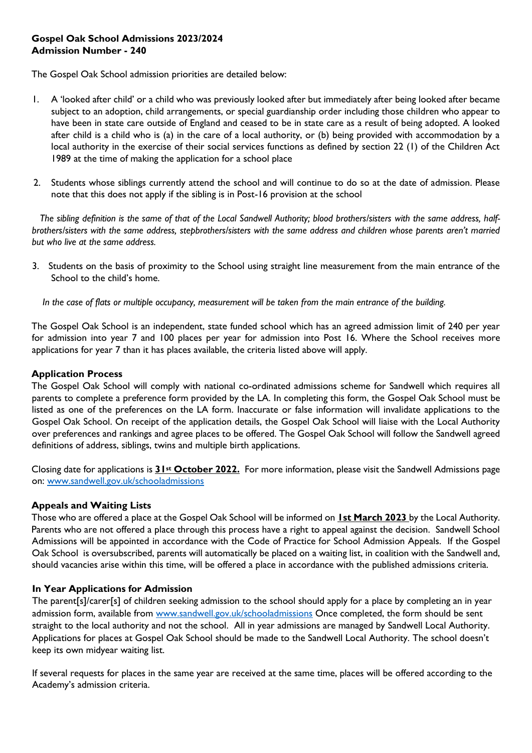## **Gospel Oak School Admissions 2023/2024 Admission Number - 240**

The Gospel Oak School admission priorities are detailed below:

- 1. A 'looked after child' or a child who was previously looked after but immediately after being looked after became subject to an adoption, child arrangements, or special guardianship order including those children who appear to have been in state care outside of England and ceased to be in state care as a result of being adopted. A looked after child is a child who is (a) in the care of a local authority, or (b) being provided with accommodation by a local authority in the exercise of their social services functions as defined by section 22 (1) of the Children Act 1989 at the time of making the application for a school place
- 2. Students whose siblings currently attend the school and will continue to do so at the date of admission. Please note that this does not apply if the sibling is in Post-16 provision at the school

 *The sibling definition is the same of that of the Local Sandwell Authority; blood brothers/sisters with the same address, halfbrothers/sisters with the same address, stepbrothers/sisters with the same address and children whose parents aren't married but who live at the same address.* 

3. Students on the basis of proximity to the School using straight line measurement from the main entrance of the School to the child's home.

 *In the case of flats or multiple occupancy, measurement will be taken from the main entrance of the building.* 

The Gospel Oak School is an independent, state funded school which has an agreed admission limit of 240 per year for admission into year 7 and 100 places per year for admission into Post 16. Where the School receives more applications for year 7 than it has places available, the criteria listed above will apply.

### **Application Process**

The Gospel Oak School will comply with national co-ordinated admissions scheme for Sandwell which requires all parents to complete a preference form provided by the LA. In completing this form, the Gospel Oak School must be listed as one of the preferences on the LA form. Inaccurate or false information will invalidate applications to the Gospel Oak School. On receipt of the application details, the Gospel Oak School will liaise with the Local Authority over preferences and rankings and agree places to be offered. The Gospel Oak School will follow the Sandwell agreed definitions of address, siblings, twins and multiple birth applications.

Closing date for applications is **31st October 2022.** For more information, please visit the Sandwell Admissions page on: [www.sandwell.gov.uk/schooladmissions](http://www.sandwell.gov.uk/schooladmissions)

### **Appeals and Waiting Lists**

Those who are offered a place at the Gospel Oak School will be informed on **1st March 2023** by the Local Authority. Parents who are not offered a place through this process have a right to appeal against the decision. Sandwell School Admissions will be appointed in accordance with the Code of Practice for School Admission Appeals. If the Gospel Oak School is oversubscribed, parents will automatically be placed on a waiting list, in coalition with the Sandwell and, should vacancies arise within this time, will be offered a place in accordance with the published admissions criteria.

### **In Year Applications for Admission**

The parent[s]/carer[s] of children seeking admission to the school should apply for a place by completing an in year admission form, available from [www.sandwell.gov.uk/schooladmissions](http://www.sandwell.gov.uk/schooladmissions) Once completed, the form should be sent straight to the local authority and not the school. All in year admissions are managed by Sandwell Local Authority. Applications for places at Gospel Oak School should be made to the Sandwell Local Authority. The school doesn't keep its own midyear waiting list.

If several requests for places in the same year are received at the same time, places will be offered according to the Academy's admission criteria.